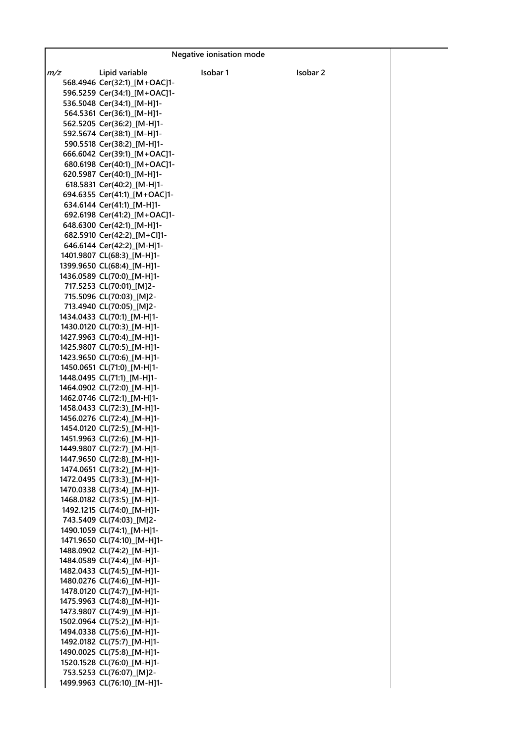|     |                                                          | Negative ionisation mode |          |  |
|-----|----------------------------------------------------------|--------------------------|----------|--|
| m/z | Lipid variable                                           | Isobar 1                 | Isobar 2 |  |
|     | 568.4946 Cer(32:1) [M+OAC]1-                             |                          |          |  |
|     | 596.5259 Cer(34:1) [M+OAC]1-                             |                          |          |  |
|     | 536.5048 Cer(34:1)_[M-H]1-                               |                          |          |  |
|     | 564.5361 Cer(36:1) [M-H]1-                               |                          |          |  |
|     | 562.5205 Cer(36:2) [M-H]1-                               |                          |          |  |
|     | 592.5674 Cer(38:1) [M-H]1-                               |                          |          |  |
|     | 590.5518 Cer(38:2)_[M-H]1-                               |                          |          |  |
|     | 666.6042 Cer(39:1) [M+OAC]1-                             |                          |          |  |
|     | 680.6198 Cer(40:1) [M+OAC]1-                             |                          |          |  |
|     | 620.5987 Cer(40:1) [M-H]1-                               |                          |          |  |
|     | 618.5831 Cer(40:2)_[M-H]1-                               |                          |          |  |
|     | 694.6355 Cer(41:1) [M+OAC]1-                             |                          |          |  |
|     | 634.6144 Cer(41:1) [M-H]1-                               |                          |          |  |
|     | 692.6198 Cer(41:2)_[M+OAC]1-                             |                          |          |  |
|     | 648.6300 Cer(42:1)_[M-H]1-                               |                          |          |  |
|     | 682.5910 Cer(42:2) [M+Cl]1-                              |                          |          |  |
|     | 646.6144 Cer(42:2)_[M-H]1-                               |                          |          |  |
|     | 1401.9807 CL(68:3) [M-H]1-                               |                          |          |  |
|     | 1399.9650 CL(68:4) [M-H]1-                               |                          |          |  |
|     | 1436.0589 CL(70:0) [M-H]1-<br>717.5253 CL(70:01) [M]2-   |                          |          |  |
|     | 715.5096 CL(70:03)_[M]2-                                 |                          |          |  |
|     | 713.4940 CL(70:05)_[M]2-                                 |                          |          |  |
|     | 1434.0433 CL(70:1) [M-H]1-                               |                          |          |  |
|     | 1430.0120 CL(70:3) [M-H]1-                               |                          |          |  |
|     | 1427.9963 CL(70:4)_[M-H]1-                               |                          |          |  |
|     | 1425.9807 CL(70:5) [M-H]1-                               |                          |          |  |
|     | 1423.9650 CL(70:6) [M-H]1-                               |                          |          |  |
|     | 1450.0651 CL(71:0) [M-H]1-                               |                          |          |  |
|     | 1448.0495 CL(71:1) [M-H]1-                               |                          |          |  |
|     | 1464.0902 CL(72:0) [M-H]1-                               |                          |          |  |
|     | 1462.0746 CL(72:1) [M-H]1-                               |                          |          |  |
|     | 1458.0433 CL(72:3) [M-H]1-                               |                          |          |  |
|     | 1456.0276 CL(72:4) [M-H]1-                               |                          |          |  |
|     | 1454.0120 CL(72:5)_[M-H]1-                               |                          |          |  |
|     | 1451.9963 CL(72:6) [M-H]1-                               |                          |          |  |
|     | 1449.9807 CL(72:7) [M-H]1-<br>1447.9650 CL(72:8)_[M-H]1- |                          |          |  |
|     | 1474.0651 CL(73:2) [M-H]1-                               |                          |          |  |
|     | 1472.0495 CL(73:3) [M-H]1-                               |                          |          |  |
|     | 1470.0338 CL(73:4)_[M-H]1-                               |                          |          |  |
|     | 1468.0182 CL(73:5)_[M-H]1-                               |                          |          |  |
|     | 1492.1215 CL(74:0) [M-H]1-                               |                          |          |  |
|     | 743.5409 CL(74:03) [M]2-                                 |                          |          |  |
|     | 1490.1059 CL(74:1)_[M-H]1-                               |                          |          |  |
|     | 1471.9650 CL(74:10) [M-H]1-                              |                          |          |  |
|     | 1488.0902 CL(74:2) [M-H]1-                               |                          |          |  |
|     | 1484.0589 CL(74:4) [M-H]1-                               |                          |          |  |
|     | 1482.0433 CL(74:5)_[M-H]1-                               |                          |          |  |
|     | 1480.0276 CL(74:6) [M-H]1-<br>1478.0120 CL(74:7) [M-H]1- |                          |          |  |
|     | 1475.9963 CL(74:8) [M-H]1-                               |                          |          |  |
|     | 1473.9807 CL(74:9) [M-H]1-                               |                          |          |  |
|     | 1502.0964 CL(75:2)_[M-H]1-                               |                          |          |  |
|     | 1494.0338 CL(75:6) [M-H]1-                               |                          |          |  |
|     | 1492.0182 CL(75:7) [M-H]1-                               |                          |          |  |
|     | 1490.0025 CL(75:8) [M-H]1-                               |                          |          |  |
|     | 1520.1528 CL(76:0) [M-H]1-                               |                          |          |  |
|     | 753.5253 CL(76:07) [M]2-                                 |                          |          |  |
|     | 1499.9963 CL(76:10)_[M-H]1-                              |                          |          |  |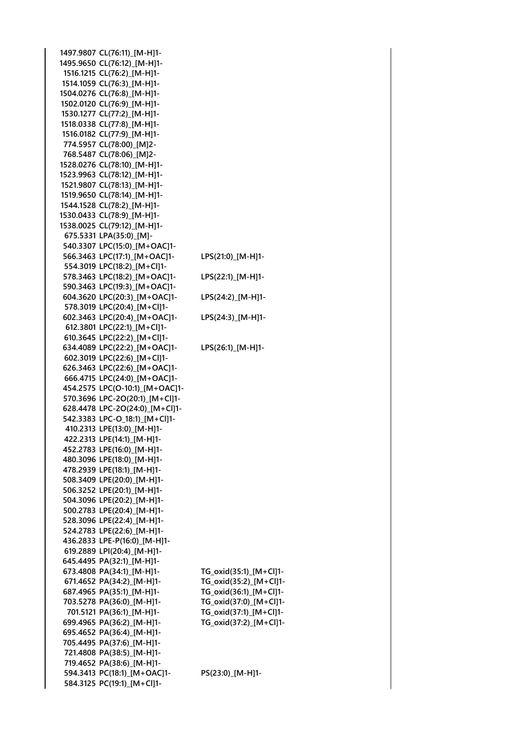**1497.9807 CL(76:11)\_[M-H]1- 1495.9650 CL(76:12)\_[M-H]1- 1516.1215 CL(76:2)\_[M-H]1- 1514.1059 CL(76:3)\_[M-H]1- 1504.0276 CL(76:8)\_[M-H]1- 1502.0120 CL(76:9)\_[M-H]1- 1530.1277 CL(77:2)\_[M-H]1- 1518.0338 CL(77:8)\_[M-H]1- 1516.0182 CL(77:9)\_[M-H]1- 774.5957 CL(78:00)\_[M]2- 768.5487 CL(78:06)\_[M]2- 1528.0276 CL(78:10)\_[M-H]1- 1523.9963 CL(78:12)\_[M-H]1- 1521.9807 CL(78:13)\_[M-H]1- 1519.9650 CL(78:14)\_[M-H]1- 1544.1528 CL(78:2)\_[M-H]1- 1530.0433 CL(78:9)\_[M-H]1- 1538.0025 CL(79:12)\_[M-H]1- 675.5331 LPA(35:0)\_[M]- 540.3307 LPC(15:0)\_[M+OAC]1- 566.3463 LPC(17:1)\_[M+OAC]1- LPS(21:0)\_[M-H]1- 554.3019 LPC(18:2)\_[M+Cl]1- 578.3463 LPC(18:2)\_[M+OAC]1- LPS(22:1)\_[M-H]1- 590.3463 LPC(19:3)\_[M+OAC]1- 604.3620 LPC(20:3)\_[M+OAC]1- LPS(24:2)\_[M-H]1- 578.3019 LPC(20:4)\_[M+Cl]1- 602.3463 LPC(20:4)\_[M+OAC]1- LPS(24:3)\_[M-H]1- 612.3801 LPC(22:1)\_[M+Cl]1- 610.3645 LPC(22:2)\_[M+Cl]1- 634.4089 LPC(22:2)\_[M+OAC]1- LPS(26:1)\_[M-H]1- 602.3019 LPC(22:6)\_[M+Cl]1- 626.3463 LPC(22:6)\_[M+OAC]1- 666.4715 LPC(24:0)\_[M+OAC]1- 454.2575 LPC(O-10:1)\_[M+OAC]1- 570.3696 LPC-2O(20:1)\_[M+Cl]1- 628.4478 LPC-2O(24:0)\_[M+Cl]1- 542.3383 LPC-O\_18:1)\_[M+Cl]1- 410.2313 LPE(13:0)\_[M-H]1- 422.2313 LPE(14:1)\_[M-H]1- 452.2783 LPE(16:0)\_[M-H]1- 480.3096 LPE(18:0)\_[M-H]1- 478.2939 LPE(18:1)\_[M-H]1- 508.3409 LPE(20:0)\_[M-H]1- 506.3252 LPE(20:1)\_[M-H]1- 504.3096 LPE(20:2)\_[M-H]1- 500.2783 LPE(20:4)\_[M-H]1- 528.3096 LPE(22:4)\_[M-H]1- 524.2783 LPE(22:6)\_[M-H]1- 436.2833 LPE-P(16:0)\_[M-H]1- 619.2889 LPI(20:4)\_[M-H]1- 645.4495 PA(32:1)\_[M-H]1- 673.4808 PA(34:1)\_[M-H]1- TG\_oxid(35:1)\_[M+Cl]1- 671.4652 PA(34:2)\_[M-H]1- TG\_oxid(35:2)\_[M+Cl]1- 687.4965 PA(35:1)\_[M-H]1- TG\_oxid(36:1)\_[M+Cl]1- 703.5278 PA(36:0)\_[M-H]1- TG\_oxid(37:0)\_[M+Cl]1- 701.5121 PA(36:1)\_[M-H]1- TG\_oxid(37:1)\_[M+Cl]1- 699.4965 PA(36:2)\_[M-H]1- TG\_oxid(37:2)\_[M+Cl]1- 695.4652 PA(36:4)\_[M-H]1- 705.4495 PA(37:6)\_[M-H]1- 721.4808 PA(38:5)\_[M-H]1- 719.4652 PA(38:6)\_[M-H]1- 594.3413 PC(18:1)\_[M+OAC]1- PS(23:0)\_[M-H]1- 584.3125 PC(19:1)\_[M+Cl]1-**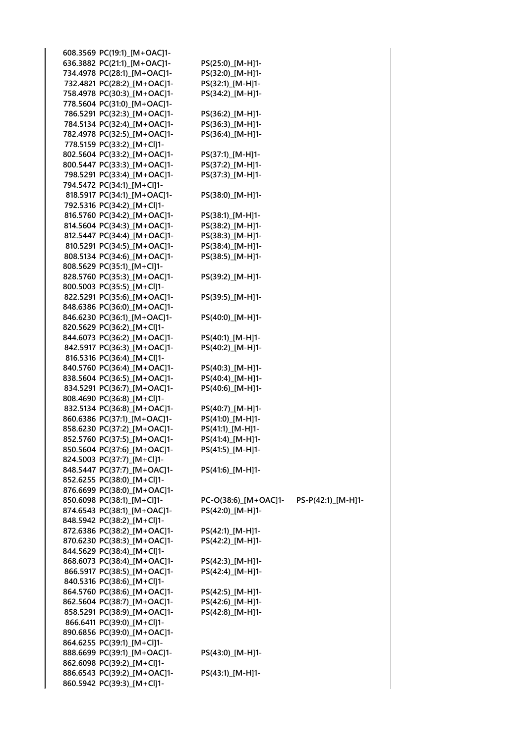| 608.3569 PC(19:1) [M+OAC]1- |                      |                    |
|-----------------------------|----------------------|--------------------|
| 636.3882 PC(21:1) [M+OAC]1- | PS(25:0)_[M-H]1-     |                    |
| 734.4978 PC(28:1)_[M+OAC]1- | PS(32:0)_[M-H]1-     |                    |
| 732.4821 PC(28:2)_[M+OAC]1- | PS(32:1)_[M-H]1-     |                    |
| 758.4978 PC(30:3)_[M+OAC]1- | PS(34:2)_[M-H]1-     |                    |
| 778.5604 PC(31:0) [M+OAC]1- |                      |                    |
| 786.5291 PC(32:3)_[M+OAC]1- |                      |                    |
|                             | PS(36:2)_[M-H]1-     |                    |
| 784.5134 PC(32:4)_[M+OAC]1- | PS(36:3)_[M-H]1-     |                    |
| 782.4978 PC(32:5)_[M+OAC]1- | PS(36:4)_[M-H]1-     |                    |
| 778.5159 PC(33:2)_[M+Cl]1-  |                      |                    |
| 802.5604 PC(33:2)_[M+OAC]1- | PS(37:1)_[M-H]1-     |                    |
| 800.5447 PC(33:3)_[M+OAC]1- | PS(37:2)_[M-H]1-     |                    |
| 798.5291 PC(33:4)_[M+OAC]1- | PS(37:3)_[M-H]1-     |                    |
| 794.5472 PC(34:1)_[M+Cl]1-  |                      |                    |
| 818.5917 PC(34:1) [M+OAC]1- | PS(38:0)_[M-H]1-     |                    |
| 792.5316 PC(34:2) [M+Cl]1-  |                      |                    |
| 816.5760 PC(34:2)_[M+OAC]1- | PS(38:1)_[M-H]1-     |                    |
|                             |                      |                    |
| 814.5604 PC(34:3)_[M+OAC]1- | PS(38:2)_[M-H]1-     |                    |
| 812.5447 PC(34:4) [M+OAC]1- | PS(38:3)_[M-H]1-     |                    |
| 810.5291 PC(34:5)_[M+OAC]1- | PS(38:4)_[M-H]1-     |                    |
| 808.5134 PC(34:6)_[M+OAC]1- | PS(38:5)_[M-H]1-     |                    |
| 808.5629 PC(35:1) [M+Cl]1-  |                      |                    |
| 828.5760 PC(35:3)_[M+OAC]1- | PS(39:2)_[M-H]1-     |                    |
| 800.5003 PC(35:5)_[M+Cl]1-  |                      |                    |
| 822.5291 PC(35:6) [M+OAC]1- | PS(39:5)_[M-H]1-     |                    |
| 848.6386 PC(36:0)_[M+OAC]1- |                      |                    |
| 846.6230 PC(36:1)_[M+OAC]1- | PS(40:0)_[M-H]1-     |                    |
| 820.5629 PC(36:2) [M+Cl]1-  |                      |                    |
|                             |                      |                    |
| 844.6073 PC(36:2)_[M+OAC]1- | PS(40:1)_[M-H]1-     |                    |
| 842.5917 PC(36:3)_[M+OAC]1- | PS(40:2)_[M-H]1-     |                    |
| 816.5316 PC(36:4)_[M+Cl]1-  |                      |                    |
| 840.5760 PC(36:4)_[M+OAC]1- | PS(40:3)_[M-H]1-     |                    |
| 838.5604 PC(36:5)_[M+OAC]1- | PS(40:4)_[M-H]1-     |                    |
| 834.5291 PC(36:7)_[M+OAC]1- | PS(40:6)_[M-H]1-     |                    |
| 808.4690 PC(36:8) [M+Cl]1-  |                      |                    |
| 832.5134 PC(36:8)_[M+OAC]1- | PS(40:7)_[M-H]1-     |                    |
| 860.6386 PC(37:1)_[M+OAC]1- | PS(41:0)_[M-H]1-     |                    |
| 858.6230 PC(37:2)_[M+OAC]1- | PS(41:1)_[M-H]1-     |                    |
| 852.5760 PC(37:5)_[M+OAC]1- | PS(41:4)_[M-H]1-     |                    |
| 850.5604 PC(37:6) [M+OAC]1- | PS(41:5)_[M-H]1-     |                    |
| 824.5003 PC(37:7) [M+Cl]1-  |                      |                    |
| 848.5447 PC(37:7) [M+OAC]1- | PS(41:6)_[M-H]1-     |                    |
| 852.6255 PC(38:0) [M+Cl]1-  |                      |                    |
| 876.6699 PC(38:0)_[M+OAC]1- |                      |                    |
|                             |                      |                    |
| 850.6098 PC(38:1)_[M+Cl]1-  | PC-O(38:6)_[M+OAC]1- | PS-P(42:1) [M-H]1- |
| 874.6543 PC(38:1)_[M+OAC]1- | PS(42:0) [M-H]1-     |                    |
| 848.5942 PC(38:2)_[M+Cl]1-  |                      |                    |
| 872.6386 PC(38:2)_[M+OAC]1- | PS(42:1)_[M-H]1-     |                    |
| 870.6230 PC(38:3)_[M+OAC]1- | PS(42:2)_[M-H]1-     |                    |
| 844.5629 PC(38:4)_[M+Cl]1-  |                      |                    |
| 868.6073 PC(38:4)_[M+OAC]1- | PS(42:3)_[M-H]1-     |                    |
| 866.5917 PC(38:5)_[M+OAC]1- | PS(42:4)_[M-H]1-     |                    |
| 840.5316 PC(38:6) [M+Cl]1-  |                      |                    |
| 864.5760 PC(38:6)_[M+OAC]1- | PS(42:5)_[M-H]1-     |                    |
| 862.5604 PC(38:7)_[M+OAC]1- | PS(42:6)_[M-H]1-     |                    |
| 858.5291 PC(38:9) [M+OAC]1- | PS(42:8) [M-H]1-     |                    |
| 866.6411 PC(39:0) [M+Cl]1-  |                      |                    |
| 890.6856 PC(39:0)_[M+OAC]1- |                      |                    |
| 864.6255 PC(39:1)_[M+Cl]1-  |                      |                    |
| 888.6699 PC(39:1)_[M+OAC]1- | PS(43:0) [M-H]1-     |                    |
| 862.6098 PC(39:2)_[M+Cl]1-  |                      |                    |
| 886.6543 PC(39:2)_[M+OAC]1- | PS(43:1)_[M-H]1-     |                    |
| 860.5942 PC(39:3) [M+Cl]1-  |                      |                    |
|                             |                      |                    |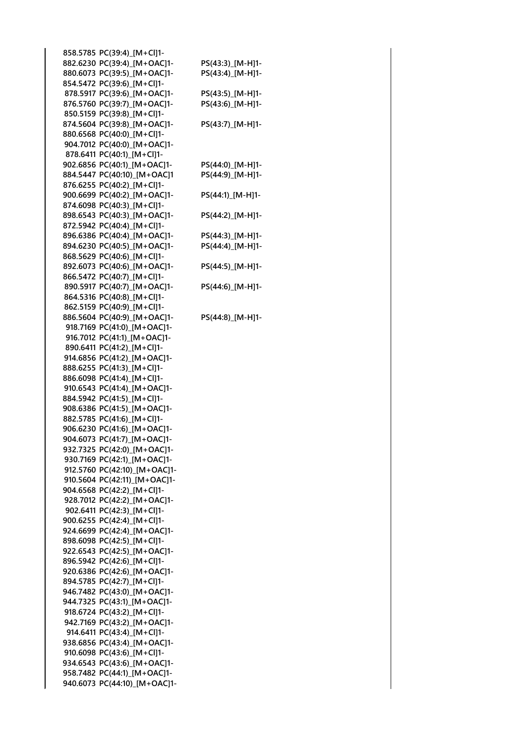| 858.5785 PC(39:4)_[M+Cl]1-                                |                  |
|-----------------------------------------------------------|------------------|
| 882.6230 PC(39:4) [M+OAC]1-                               | PS(43:3)_[M-H]1- |
| 880.6073 PC(39:5)_[M+OAC]1-                               | PS(43:4)_[M-H]1- |
| 854.5472 PC(39:6) [M+Cl]1-                                |                  |
| 878.5917 PC(39:6) [M+OAC]1-                               | PS(43:5)_[M-H]1- |
| 876.5760 PC(39:7)_[M+OAC]1-                               | PS(43:6)_[M-H]1- |
| 850.5159 PC(39:8)_[M+Cl]1-                                |                  |
| 874.5604 PC(39:8)_[M+OAC]1-                               | PS(43:7)_[M-H]1- |
| 880.6568 PC(40:0)_[M+Cl]1-                                |                  |
| 904.7012 PC(40:0) [M+OAC]1-                               |                  |
| 878.6411 PC(40:1)_[M+Cl]1-                                |                  |
| 902.6856 PC(40:1)_[M+OAC]1-                               | PS(44:0)_[M-H]1- |
| 884.5447 PC(40:10) [M+OAC]1                               | PS(44:9)_[M-H]1- |
| 876.6255 PC(40:2)_[M+Cl]1-                                |                  |
| 900.6699 PC(40:2)_[M+OAC]1-                               | PS(44:1)_[M-H]1- |
| 874.6098 PC(40:3)_[M+Cl]1-                                |                  |
| 898.6543 PC(40:3)_[M+OAC]1-                               | PS(44:2)_[M-H]1- |
| 872.5942 PC(40:4)_[M+Cl]1-                                |                  |
| 896.6386 PC(40:4)_[M+OAC]1-                               | PS(44:3)_[M-H]1- |
| 894.6230 PC(40:5)_[M+OAC]1-                               | PS(44:4)_[M-H]1- |
| 868.5629 PC(40:6)_[M+Cl]1-                                |                  |
| 892.6073 PC(40:6) [M+OAC]1-                               | PS(44:5)_[M-H]1- |
| 866.5472 PC(40:7) [M+Cl]1-                                |                  |
| 890.5917 PC(40:7)_[M+OAC]1-                               | PS(44:6) [M-H]1- |
| 864.5316 PC(40:8) [M+Cl]1-                                |                  |
| 862.5159 PC(40:9) [M+Cl]1-                                |                  |
| 886.5604 PC(40:9)_[M+OAC]1-                               | PS(44:8)_[M-H]1- |
| 918.7169 PC(41:0) [M+OAC]1-                               |                  |
| 916.7012 PC(41:1) [M+OAC]1-                               |                  |
| 890.6411 PC(41:2)_[M+Cl]1-                                |                  |
| 914.6856 PC(41:2)_[M+OAC]1-                               |                  |
| 888.6255 PC(41:3)_[M+Cl]1-                                |                  |
| 886.6098 PC(41:4)_[M+Cl]1-                                |                  |
| 910.6543 PC(41:4)_[M+OAC]1-                               |                  |
| 884.5942 PC(41:5)_[M+Cl]1-                                |                  |
| 908.6386 PC(41:5)_[M+OAC]1-                               |                  |
| 882.5785 PC(41:6) [M+Cl]1-                                |                  |
| 906.6230 PC(41:6)_[M+OAC]1-                               |                  |
| 904.6073 PC(41:7)_[M+OAC]1-                               |                  |
| 932.7325 PC(42:0)_[M+OAC]1-                               |                  |
| 930.7169 PC(42:1) [M+OAC]1-                               |                  |
| 912.5760 PC(42:10) [M+OAC]1-                              |                  |
| 910.5604 PC(42:11) [M+OAC]1-                              |                  |
|                                                           |                  |
| 904.6568 PC(42:2)_[M+Cl]1-<br>928.7012 PC(42:2)_[M+OAC]1- |                  |
| 902.6411 PC(42:3)_[M+Cl]1-                                |                  |
| 900.6255 PC(42:4)_[M+Cl]1-                                |                  |
|                                                           |                  |
| 924.6699 PC(42:4) [M+OAC]1-<br>898.6098 PC(42:5) [M+Cl]1- |                  |
| 922.6543 PC(42:5)_[M+OAC]1-                               |                  |
| 896.5942 PC(42:6) [M+Cl]1-                                |                  |
| 920.6386 PC(42:6) [M+OAC]1-                               |                  |
|                                                           |                  |
| 894.5785 PC(42:7) [M+Cl]1-                                |                  |
| 946.7482 PC(43:0) [M+OAC]1-                               |                  |
| 944.7325 PC(43:1)_[M+OAC]1-                               |                  |
| 918.6724 PC(43:2)_[M+Cl]1-                                |                  |
| 942.7169 PC(43:2)_[M+OAC]1-                               |                  |
| 914.6411 PC(43:4)_[M+Cl]1-                                |                  |
| 938.6856 PC(43:4)_[M+OAC]1-                               |                  |
| 910.6098 PC(43:6)_[M+Cl]1-                                |                  |
| 934.6543 PC(43:6) [M+OAC]1-                               |                  |
| 958.7482 PC(44:1)_[M+OAC]1-                               |                  |
| 940.6073 PC(44:10)_[M+OAC]1-                              |                  |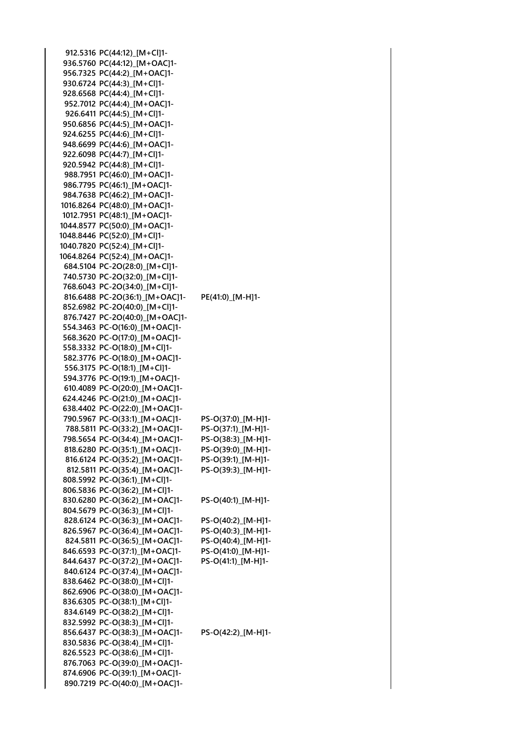**912.5316 PC(44:12)\_[M+Cl]1- 936.5760 PC(44:12)\_[M+OAC]1- 956.7325 PC(44:2)\_[M+OAC]1- 930.6724 PC(44:3)\_[M+Cl]1- 928.6568 PC(44:4)\_[M+Cl]1- 952.7012 PC(44:4)\_[M+OAC]1- 926.6411 PC(44:5)\_[M+Cl]1- 950.6856 PC(44:5)\_[M+OAC]1- 924.6255 PC(44:6)\_[M+Cl]1- 948.6699 PC(44:6)\_[M+OAC]1- 922.6098 PC(44:7)\_[M+Cl]1- 920.5942 PC(44:8)\_[M+Cl]1- 988.7951 PC(46:0)\_[M+OAC]1- 986.7795 PC(46:1)\_[M+OAC]1- 984.7638 PC(46:2)\_[M+OAC]1- 1016.8264 PC(48:0)\_[M+OAC]1- 1012.7951 PC(48:1)\_[M+OAC]1- 1044.8577 PC(50:0)\_[M+OAC]1- 1048.8446 PC(52:0)\_[M+Cl]1- 1040.7820 PC(52:4)\_[M+Cl]1- 1064.8264 PC(52:4)\_[M+OAC]1- 684.5104 PC-2O(28:0)\_[M+Cl]1- 740.5730 PC-2O(32:0)\_[M+Cl]1- 768.6043 PC-2O(34:0)\_[M+Cl]1- 816.6488 PC-2O(36:1)\_[M+OAC]1- PE(41:0)\_[M-H]1- 852.6982 PC-2O(40:0)\_[M+Cl]1- 876.7427 PC-2O(40:0)\_[M+OAC]1- 554.3463 PC-O(16:0)\_[M+OAC]1- 568.3620 PC-O(17:0)\_[M+OAC]1- 558.3332 PC-O(18:0)\_[M+Cl]1- 582.3776 PC-O(18:0)\_[M+OAC]1- 556.3175 PC-O(18:1)\_[M+Cl]1- 594.3776 PC-O(19:1)\_[M+OAC]1- 610.4089 PC-O(20:0)\_[M+OAC]1- 624.4246 PC-O(21:0)\_[M+OAC]1- 638.4402 PC-O(22:0)\_[M+OAC]1- 790.5967 PC-O(33:1)\_[M+OAC]1- PS-O(37:0)\_[M-H]1- 788.5811 PC-O(33:2)\_[M+OAC]1- PS-O(37:1)\_[M-H]1- 798.5654 PC-O(34:4)\_[M+OAC]1- PS-O(38:3)\_[M-H]1- 818.6280 PC-O(35:1)\_[M+OAC]1- PS-O(39:0)\_[M-H]1- 816.6124 PC-O(35:2)\_[M+OAC]1- PS-O(39:1)\_[M-H]1- 812.5811 PC-O(35:4)\_[M+OAC]1- PS-O(39:3)\_[M-H]1- 808.5992 PC-O(36:1)\_[M+Cl]1- 806.5836 PC-O(36:2)\_[M+Cl]1- 830.6280 PC-O(36:2)\_[M+OAC]1- PS-O(40:1)\_[M-H]1- 804.5679 PC-O(36:3)\_[M+Cl]1- 828.6124 PC-O(36:3)\_[M+OAC]1- PS-O(40:2)\_[M-H]1- 826.5967 PC-O(36:4)\_[M+OAC]1- PS-O(40:3)\_[M-H]1- 824.5811 PC-O(36:5)\_[M+OAC]1- PS-O(40:4)\_[M-H]1- 846.6593 PC-O(37:1)\_[M+OAC]1- PS-O(41:0)\_[M-H]1- 844.6437 PC-O(37:2)\_[M+OAC]1- PS-O(41:1)\_[M-H]1- 840.6124 PC-O(37:4)\_[M+OAC]1- 838.6462 PC-O(38:0)\_[M+Cl]1- 862.6906 PC-O(38:0)\_[M+OAC]1- 836.6305 PC-O(38:1)\_[M+Cl]1- 834.6149 PC-O(38:2)\_[M+Cl]1- 832.5992 PC-O(38:3)\_[M+Cl]1- 856.6437 PC-O(38:3)\_[M+OAC]1- PS-O(42:2)\_[M-H]1- 830.5836 PC-O(38:4)\_[M+Cl]1- 826.5523 PC-O(38:6)\_[M+Cl]1- 876.7063 PC-O(39:0)\_[M+OAC]1- 874.6906 PC-O(39:1)\_[M+OAC]1- 890.7219 PC-O(40:0)\_[M+OAC]1-**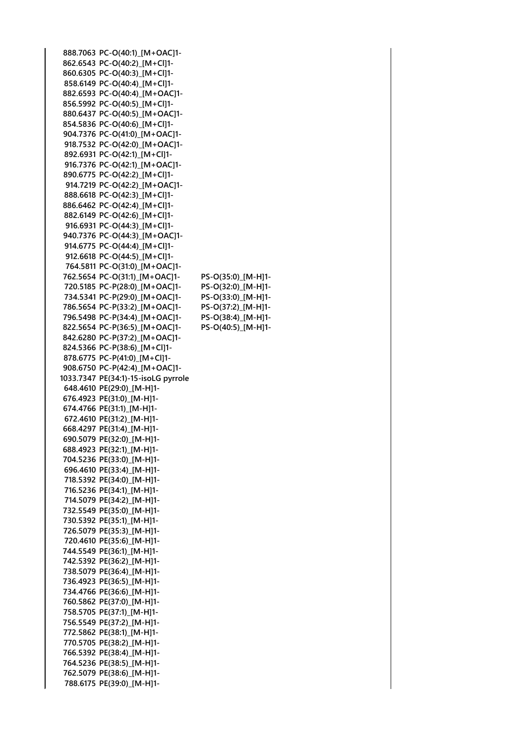**888.7063 PC-O(40:1)\_[M+OAC]1- 862.6543 PC-O(40:2)\_[M+Cl]1- 860.6305 PC-O(40:3)\_[M+Cl]1- 858.6149 PC-O(40:4)\_[M+Cl]1- 882.6593 PC-O(40:4)\_[M+OAC]1- 856.5992 PC-O(40:5)\_[M+Cl]1- 880.6437 PC-O(40:5)\_[M+OAC]1- 854.5836 PC-O(40:6)\_[M+Cl]1- 904.7376 PC-O(41:0)\_[M+OAC]1- 918.7532 PC-O(42:0)\_[M+OAC]1- 892.6931 PC-O(42:1)\_[M+Cl]1- 916.7376 PC-O(42:1)\_[M+OAC]1- 890.6775 PC-O(42:2)\_[M+Cl]1- 914.7219 PC-O(42:2)\_[M+OAC]1- 888.6618 PC-O(42:3)\_[M+Cl]1- 886.6462 PC-O(42:4)\_[M+Cl]1- 882.6149 PC-O(42:6)\_[M+Cl]1- 916.6931 PC-O(44:3)\_[M+Cl]1- 940.7376 PC-O(44:3)\_[M+OAC]1- 914.6775 PC-O(44:4)\_[M+Cl]1- 912.6618 PC-O(44:5)\_[M+Cl]1- 764.5811 PC-O(31:0)\_[M+OAC]1- 762.5654 PC-O(31:1)\_[M+OAC]1- PS-O(35:0)\_[M-H]1- 720.5185 PC-P(28:0)\_[M+OAC]1- PS-O(32:0)\_[M-H]1- 734.5341 PC-P(29:0)\_[M+OAC]1- PS-O(33:0)\_[M-H]1- 786.5654 PC-P(33:2)\_[M+OAC]1- PS-O(37:2)\_[M-H]1- 796.5498 PC-P(34:4)\_[M+OAC]1- PS-O(38:4)\_[M-H]1- 822.5654 PC-P(36:5)\_[M+OAC]1- PS-O(40:5)\_[M-H]1- 842.6280 PC-P(37:2)\_[M+OAC]1- 824.5366 PC-P(38:6)\_[M+Cl]1- 878.6775 PC-P(41:0)\_[M+Cl]1- 908.6750 PC-P(42:4)\_[M+OAC]1- 1033.7347 PE(34:1)-15-isoLG pyrrole 648.4610 PE(29:0)\_[M-H]1- 676.4923 PE(31:0)\_[M-H]1- 674.4766 PE(31:1)\_[M-H]1- 672.4610 PE(31:2)\_[M-H]1- 668.4297 PE(31:4)\_[M-H]1- 690.5079 PE(32:0)\_[M-H]1- 688.4923 PE(32:1)\_[M-H]1- 704.5236 PE(33:0)\_[M-H]1- 696.4610 PE(33:4)\_[M-H]1- 718.5392 PE(34:0)\_[M-H]1- 716.5236 PE(34:1)\_[M-H]1- 714.5079 PE(34:2)\_[M-H]1- 732.5549 PE(35:0)\_[M-H]1- 730.5392 PE(35:1)\_[M-H]1- 726.5079 PE(35:3)\_[M-H]1- 720.4610 PE(35:6)\_[M-H]1- 744.5549 PE(36:1)\_[M-H]1- 742.5392 PE(36:2)\_[M-H]1- 738.5079 PE(36:4)\_[M-H]1- 736.4923 PE(36:5)\_[M-H]1- 734.4766 PE(36:6)\_[M-H]1- 760.5862 PE(37:0)\_[M-H]1- 758.5705 PE(37:1)\_[M-H]1- 756.5549 PE(37:2)\_[M-H]1- 772.5862 PE(38:1)\_[M-H]1- 770.5705 PE(38:2)\_[M-H]1- 766.5392 PE(38:4)\_[M-H]1- 764.5236 PE(38:5)\_[M-H]1- 762.5079 PE(38:6)\_[M-H]1- 788.6175 PE(39:0)\_[M-H]1-**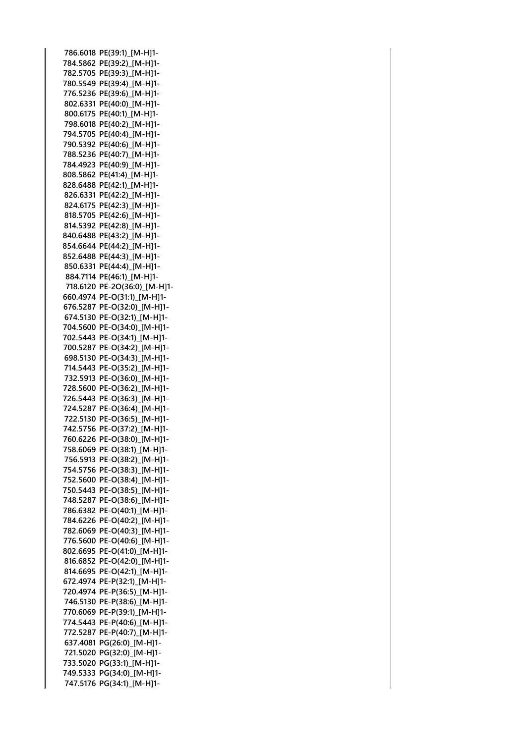**786.6018 PE(39:1)\_[M-H]1- 784.5862 PE(39:2)\_[M-H]1- 782.5705 PE(39:3)\_[M-H]1- 780.5549 PE(39:4)\_[M-H]1- 776.5236 PE(39:6)\_[M-H]1- 802.6331 PE(40:0)\_[M-H]1- 800.6175 PE(40:1)\_[M-H]1- 798.6018 PE(40:2)\_[M-H]1- 794.5705 PE(40:4)\_[M-H]1- 790.5392 PE(40:6)\_[M-H]1- 788.5236 PE(40:7)\_[M-H]1- 784.4923 PE(40:9)\_[M-H]1- 808.5862 PE(41:4)\_[M-H]1- 828.6488 PE(42:1)\_[M-H]1- 826.6331 PE(42:2)\_[M-H]1- 824.6175 PE(42:3)\_[M-H]1- 818.5705 PE(42:6)\_[M-H]1- 814.5392 PE(42:8)\_[M-H]1- 840.6488 PE(43:2)\_[M-H]1- 854.6644 PE(44:2)\_[M-H]1- 852.6488 PE(44:3)\_[M-H]1- 850.6331 PE(44:4)\_[M-H]1- 884.7114 PE(46:1)\_[M-H]1- 718.6120 PE-2O(36:0)\_[M-H]1- 660.4974 PE-O(31:1)\_[M-H]1- 676.5287 PE-O(32:0)\_[M-H]1- 674.5130 PE-O(32:1)\_[M-H]1- 704.5600 PE-O(34:0)\_[M-H]1- 702.5443 PE-O(34:1)\_[M-H]1- 700.5287 PE-O(34:2)\_[M-H]1- 698.5130 PE-O(34:3)\_[M-H]1- 714.5443 PE-O(35:2)\_[M-H]1- 732.5913 PE-O(36:0)\_[M-H]1- 728.5600 PE-O(36:2)\_[M-H]1- 726.5443 PE-O(36:3)\_[M-H]1- 724.5287 PE-O(36:4)\_[M-H]1- 722.5130 PE-O(36:5)\_[M-H]1- 742.5756 PE-O(37:2)\_[M-H]1- 760.6226 PE-O(38:0)\_[M-H]1- 758.6069 PE-O(38:1)\_[M-H]1- 756.5913 PE-O(38:2)\_[M-H]1- 754.5756 PE-O(38:3)\_[M-H]1- 752.5600 PE-O(38:4)\_[M-H]1- 750.5443 PE-O(38:5)\_[M-H]1- 748.5287 PE-O(38:6)\_[M-H]1- 786.6382 PE-O(40:1)\_[M-H]1- 784.6226 PE-O(40:2)\_[M-H]1- 782.6069 PE-O(40:3)\_[M-H]1- 776.5600 PE-O(40:6)\_[M-H]1- 802.6695 PE-O(41:0)\_[M-H]1- 816.6852 PE-O(42:0)\_[M-H]1- 814.6695 PE-O(42:1)\_[M-H]1- 672.4974 PE-P(32:1)\_[M-H]1- 720.4974 PE-P(36:5)\_[M-H]1- 746.5130 PE-P(38:6)\_[M-H]1- 770.6069 PE-P(39:1)\_[M-H]1- 774.5443 PE-P(40:6)\_[M-H]1- 772.5287 PE-P(40:7)\_[M-H]1- 637.4081 PG(26:0)\_[M-H]1- 721.5020 PG(32:0)\_[M-H]1- 733.5020 PG(33:1)\_[M-H]1- 749.5333 PG(34:0)\_[M-H]1- 747.5176 PG(34:1)\_[M-H]1-**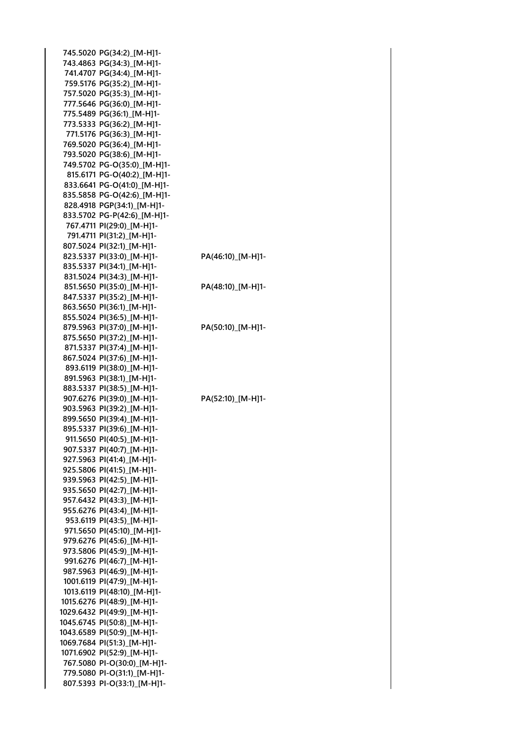**745.5020 PG(34:2)\_[M-H]1- 743.4863 PG(34:3)\_[M-H]1- 741.4707 PG(34:4)\_[M-H]1- 759.5176 PG(35:2)\_[M-H]1- 757.5020 PG(35:3)\_[M-H]1- 777.5646 PG(36:0)\_[M-H]1- 775.5489 PG(36:1)\_[M-H]1- 773.5333 PG(36:2)\_[M-H]1- 771.5176 PG(36:3)\_[M-H]1- 769.5020 PG(36:4)\_[M-H]1- 793.5020 PG(38:6)\_[M-H]1- 749.5702 PG-O(35:0)\_[M-H]1- 815.6171 PG-O(40:2)\_[M-H]1- 833.6641 PG-O(41:0)\_[M-H]1- 835.5858 PG-O(42:6)\_[M-H]1- 828.4918 PGP(34:1)\_[M-H]1- 833.5702 PG-P(42:6)\_[M-H]1- 767.4711 PI(29:0)\_[M-H]1- 791.4711 PI(31:2)\_[M-H]1- 807.5024 PI(32:1)\_[M-H]1- 823.5337 PI(33:0)\_[M-H]1- PA(46:10)\_[M-H]1- 835.5337 PI(34:1)\_[M-H]1- 831.5024 PI(34:3)\_[M-H]1- 851.5650 PI(35:0)\_[M-H]1- PA(48:10)\_[M-H]1- 847.5337 PI(35:2)\_[M-H]1- 863.5650 PI(36:1)\_[M-H]1- 855.5024 PI(36:5)\_[M-H]1- 879.5963 PI(37:0)\_[M-H]1- PA(50:10)\_[M-H]1- 875.5650 PI(37:2)\_[M-H]1- 871.5337 PI(37:4)\_[M-H]1- 867.5024 PI(37:6)\_[M-H]1- 893.6119 PI(38:0)\_[M-H]1- 891.5963 PI(38:1)\_[M-H]1- 883.5337 PI(38:5)\_[M-H]1- 907.6276 PI(39:0)\_[M-H]1- PA(52:10)\_[M-H]1- 903.5963 PI(39:2)\_[M-H]1- 899.5650 PI(39:4)\_[M-H]1- 895.5337 PI(39:6)\_[M-H]1- 911.5650 PI(40:5)\_[M-H]1- 907.5337 PI(40:7)\_[M-H]1- 927.5963 PI(41:4)\_[M-H]1- 925.5806 PI(41:5)\_[M-H]1- 939.5963 PI(42:5)\_[M-H]1- 935.5650 PI(42:7)\_[M-H]1- 957.6432 PI(43:3)\_[M-H]1- 955.6276 PI(43:4)\_[M-H]1- 953.6119 PI(43:5)\_[M-H]1- 971.5650 PI(45:10)\_[M-H]1- 979.6276 PI(45:6)\_[M-H]1- 973.5806 PI(45:9)\_[M-H]1- 991.6276 PI(46:7)\_[M-H]1- 987.5963 PI(46:9)\_[M-H]1- 1001.6119 PI(47:9)\_[M-H]1- 1013.6119 PI(48:10)\_[M-H]1- 1015.6276 PI(48:9)\_[M-H]1- 1029.6432 PI(49:9)\_[M-H]1- 1045.6745 PI(50:8)\_[M-H]1- 1043.6589 PI(50:9)\_[M-H]1- 1069.7684 PI(51:3)\_[M-H]1- 1071.6902 PI(52:9)\_[M-H]1- 767.5080 PI-O(30:0)\_[M-H]1- 779.5080 PI-O(31:1)\_[M-H]1- 807.5393 PI-O(33:1)\_[M-H]1-**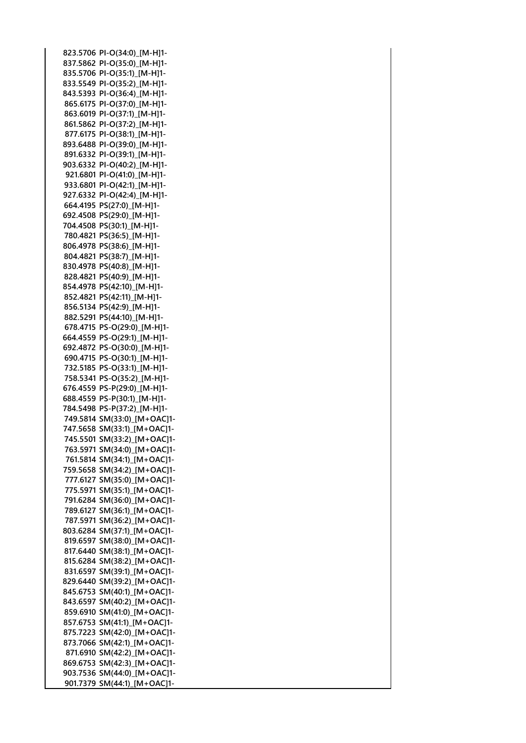**823.5706 PI-O(34:0)\_[M-H]1- 837.5862 PI-O(35:0)\_[M-H]1- 835.5706 PI-O(35:1)\_[M-H]1- 833.5549 PI-O(35:2)\_[M-H]1- 843.5393 PI-O(36:4)\_[M-H]1- 865.6175 PI-O(37:0)\_[M-H]1- 863.6019 PI-O(37:1)\_[M-H]1- 861.5862 PI-O(37:2)\_[M-H]1- 877.6175 PI-O(38:1)\_[M-H]1- 893.6488 PI-O(39:0)\_[M-H]1- 891.6332 PI-O(39:1)\_[M-H]1- 903.6332 PI-O(40:2)\_[M-H]1- 921.6801 PI-O(41:0)\_[M-H]1- 933.6801 PI-O(42:1)\_[M-H]1- 927.6332 PI-O(42:4)\_[M-H]1- 664.4195 PS(27:0)\_[M-H]1- 692.4508 PS(29:0)\_[M-H]1- 704.4508 PS(30:1)\_[M-H]1- 780.4821 PS(36:5)\_[M-H]1- 806.4978 PS(38:6)\_[M-H]1- 804.4821 PS(38:7)\_[M-H]1- 830.4978 PS(40:8)\_[M-H]1- 828.4821 PS(40:9)\_[M-H]1- 854.4978 PS(42:10)\_[M-H]1- 852.4821 PS(42:11)\_[M-H]1- 856.5134 PS(42:9)\_[M-H]1- 882.5291 PS(44:10)\_[M-H]1- 678.4715 PS-O(29:0)\_[M-H]1- 664.4559 PS-O(29:1)\_[M-H]1- 692.4872 PS-O(30:0)\_[M-H]1- 690.4715 PS-O(30:1)\_[M-H]1- 732.5185 PS-O(33:1)\_[M-H]1- 758.5341 PS-O(35:2)\_[M-H]1- 676.4559 PS-P(29:0)\_[M-H]1- 688.4559 PS-P(30:1)\_[M-H]1- 784.5498 PS-P(37:2)\_[M-H]1- 749.5814 SM(33:0)\_[M+OAC]1- 747.5658 SM(33:1)\_[M+OAC]1- 745.5501 SM(33:2)\_[M+OAC]1- 763.5971 SM(34:0)\_[M+OAC]1- 761.5814 SM(34:1)\_[M+OAC]1- 759.5658 SM(34:2)\_[M+OAC]1- 777.6127 SM(35:0)\_[M+OAC]1- 775.5971 SM(35:1)\_[M+OAC]1- 791.6284 SM(36:0)\_[M+OAC]1- 789.6127 SM(36:1)\_[M+OAC]1- 787.5971 SM(36:2)\_[M+OAC]1- 803.6284 SM(37:1)\_[M+OAC]1- 819.6597 SM(38:0)\_[M+OAC]1- 817.6440 SM(38:1)\_[M+OAC]1- 815.6284 SM(38:2)\_[M+OAC]1- 831.6597 SM(39:1)\_[M+OAC]1- 829.6440 SM(39:2)\_[M+OAC]1- 845.6753 SM(40:1)\_[M+OAC]1- 843.6597 SM(40:2)\_[M+OAC]1- 859.6910 SM(41:0)\_[M+OAC]1- 857.6753 SM(41:1)\_[M+OAC]1- 875.7223 SM(42:0)\_[M+OAC]1- 873.7066 SM(42:1)\_[M+OAC]1- 871.6910 SM(42:2)\_[M+OAC]1- 869.6753 SM(42:3)\_[M+OAC]1- 903.7536 SM(44:0)\_[M+OAC]1- 901.7379 SM(44:1)\_[M+OAC]1-**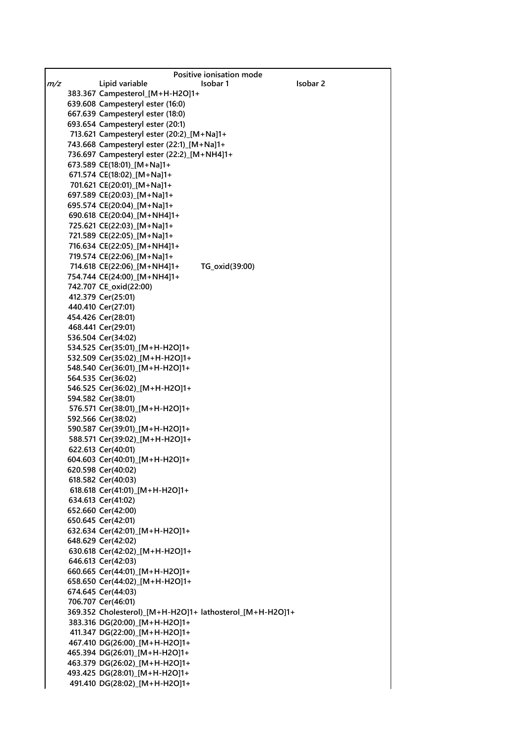|     | Positive ionisation mode                                 |
|-----|----------------------------------------------------------|
| m/z | Isobar <sub>2</sub><br>Lipid variable<br>Isobar 1        |
|     | 383.367 Campesterol_[M+H-H2O]1+                          |
|     | 639.608 Campesteryl ester (16:0)                         |
|     | 667.639 Campesteryl ester (18:0)                         |
|     | 693.654 Campesteryl ester (20:1)                         |
|     | 713.621 Campesteryl ester (20:2)_[M+Na]1+                |
|     | 743.668 Campesteryl ester (22:1)_[M+Na]1+                |
|     | 736.697 Campesteryl ester (22:2)_[M+NH4]1+               |
|     | 673.589 CE(18:01) [M+Na]1+                               |
|     | 671.574 CE(18:02) [M+Na]1+                               |
|     | 701.621 CE(20:01) [M+Na]1+                               |
|     | 697.589 CE(20:03) [M+Na]1+                               |
|     | 695.574 CE(20:04) [M+Na]1+                               |
|     | 690.618 CE(20:04) [M+NH4]1+                              |
|     | 725.621 CE(22:03) [M+Na]1+                               |
|     | 721.589 CE(22:05) [M+Na]1+                               |
|     | 716.634 CE(22:05) [M+NH4]1+                              |
|     | 719.574 CE(22:06) [M+Na]1+                               |
|     | 714.618 CE(22:06) [M+NH4]1+<br>TG_oxid(39:00)            |
|     | 754.744 CE(24:00) [M+NH4]1+                              |
|     | 742.707 CE_oxid(22:00)                                   |
|     | 412.379 Cer(25:01)                                       |
|     | 440.410 Cer(27:01)                                       |
|     | 454.426 Cer(28:01)                                       |
|     | 468.441 Cer(29:01)                                       |
|     | 536.504 Cer(34:02)                                       |
|     | 534.525 Cer(35:01) [M+H-H2O]1+                           |
|     | 532.509 Cer(35:02)_[M+H-H2O]1+                           |
|     | 548.540 Cer(36:01)_[M+H-H2O]1+<br>564.535 Cer(36:02)     |
|     | 546.525 Cer(36:02) [M+H-H2O]1+                           |
|     | 594.582 Cer(38:01)                                       |
|     | 576.571 Cer(38:01)_[M+H-H2O]1+                           |
|     | 592.566 Cer(38:02)                                       |
|     | 590.587 Cer(39:01) [M+H-H2O]1+                           |
|     | 588.571 Cer(39:02)_[M+H-H2O]1+                           |
|     | 622.613 Cer(40:01)                                       |
|     | 604.603 Cer(40:01) [M+H-H2O]1+                           |
|     | 620.598 Cer(40:02)                                       |
|     | 618.582 Cer(40:03)                                       |
|     | 618.618 Cer(41:01) [M+H-H2O]1+                           |
|     | 634.613 Cer(41:02)                                       |
|     | 652.660 Cer(42:00)                                       |
|     | 650.645 Cer(42:01)                                       |
|     | 632.634 Cer(42:01) [M+H-H2O]1+                           |
|     | 648.629 Cer(42:02)                                       |
|     | 630.618 Cer(42:02)_[M+H-H2O]1+                           |
|     | 646.613 Cer(42:03)                                       |
|     | 660.665 Cer(44:01) [M+H-H2O]1+                           |
|     | 658.650 Cer(44:02)_[M+H-H2O]1+                           |
|     | 674.645 Cer(44:03)                                       |
|     | 706.707 Cer(46:01)                                       |
|     | 369.352 Cholesterol)_[M+H-H2O]1+ lathosterol_[M+H-H2O]1+ |
|     | 383.316 DG(20:00) [M+H-H2O]1+                            |
|     | 411.347 DG(22:00) [M+H-H2O]1+                            |
|     | 467.410 DG(26:00) [M+H-H2O]1+                            |
|     | 465.394 DG(26:01) [M+H-H2O]1+                            |
|     | 463.379 DG(26:02) [M+H-H2O]1+                            |
|     | 493.425 DG(28:01)_[M+H-H2O]1+                            |
|     | 491.410 DG(28:02)_[M+H-H2O]1+                            |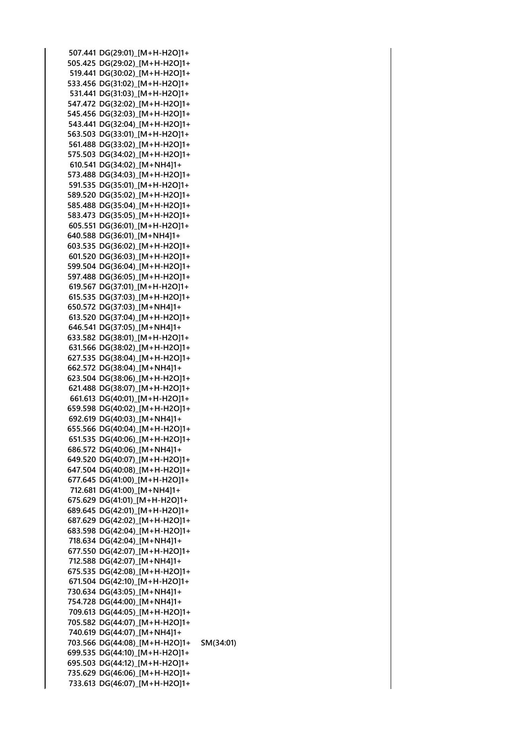**507.441 DG(29:01)\_[M+H-H2O]1+ 505.425 DG(29:02)\_[M+H-H2O]1+ 519.441 DG(30:02)\_[M+H-H2O]1+ 533.456 DG(31:02)\_[M+H-H2O]1+ 531.441 DG(31:03)\_[M+H-H2O]1+ 547.472 DG(32:02)\_[M+H-H2O]1+ 545.456 DG(32:03)\_[M+H-H2O]1+ 543.441 DG(32:04)\_[M+H-H2O]1+ 563.503 DG(33:01)\_[M+H-H2O]1+ 561.488 DG(33:02)\_[M+H-H2O]1+ 575.503 DG(34:02)\_[M+H-H2O]1+ 610.541 DG(34:02)\_[M+NH4]1+ 573.488 DG(34:03)\_[M+H-H2O]1+ 591.535 DG(35:01)\_[M+H-H2O]1+ 589.520 DG(35:02)\_[M+H-H2O]1+ 585.488 DG(35:04)\_[M+H-H2O]1+ 583.473 DG(35:05)\_[M+H-H2O]1+ 605.551 DG(36:01)\_[M+H-H2O]1+ 640.588 DG(36:01)\_[M+NH4]1+ 603.535 DG(36:02)\_[M+H-H2O]1+ 601.520 DG(36:03)\_[M+H-H2O]1+ 599.504 DG(36:04)\_[M+H-H2O]1+ 597.488 DG(36:05)\_[M+H-H2O]1+ 619.567 DG(37:01)\_[M+H-H2O]1+ 615.535 DG(37:03)\_[M+H-H2O]1+ 650.572 DG(37:03)\_[M+NH4]1+ 613.520 DG(37:04)\_[M+H-H2O]1+ 646.541 DG(37:05)\_[M+NH4]1+ 633.582 DG(38:01)\_[M+H-H2O]1+ 631.566 DG(38:02)\_[M+H-H2O]1+ 627.535 DG(38:04)\_[M+H-H2O]1+ 662.572 DG(38:04)\_[M+NH4]1+ 623.504 DG(38:06)\_[M+H-H2O]1+ 621.488 DG(38:07)\_[M+H-H2O]1+ 661.613 DG(40:01)\_[M+H-H2O]1+ 659.598 DG(40:02)\_[M+H-H2O]1+ 692.619 DG(40:03)\_[M+NH4]1+ 655.566 DG(40:04)\_[M+H-H2O]1+ 651.535 DG(40:06)\_[M+H-H2O]1+ 686.572 DG(40:06)\_[M+NH4]1+ 649.520 DG(40:07)\_[M+H-H2O]1+ 647.504 DG(40:08)\_[M+H-H2O]1+ 677.645 DG(41:00)\_[M+H-H2O]1+ 712.681 DG(41:00)\_[M+NH4]1+ 675.629 DG(41:01)\_[M+H-H2O]1+ 689.645 DG(42:01)\_[M+H-H2O]1+ 687.629 DG(42:02)\_[M+H-H2O]1+ 683.598 DG(42:04)\_[M+H-H2O]1+ 718.634 DG(42:04)\_[M+NH4]1+ 677.550 DG(42:07)\_[M+H-H2O]1+ 712.588 DG(42:07)\_[M+NH4]1+ 675.535 DG(42:08)\_[M+H-H2O]1+ 671.504 DG(42:10)\_[M+H-H2O]1+ 730.634 DG(43:05)\_[M+NH4]1+ 754.728 DG(44:00)\_[M+NH4]1+ 709.613 DG(44:05)\_[M+H-H2O]1+ 705.582 DG(44:07)\_[M+H-H2O]1+ 740.619 DG(44:07)\_[M+NH4]1+ 703.566 DG(44:08)\_[M+H-H2O]1+ SM(34:01) 699.535 DG(44:10)\_[M+H-H2O]1+ 695.503 DG(44:12)\_[M+H-H2O]1+ 735.629 DG(46:06)\_[M+H-H2O]1+ 733.613 DG(46:07)\_[M+H-H2O]1+**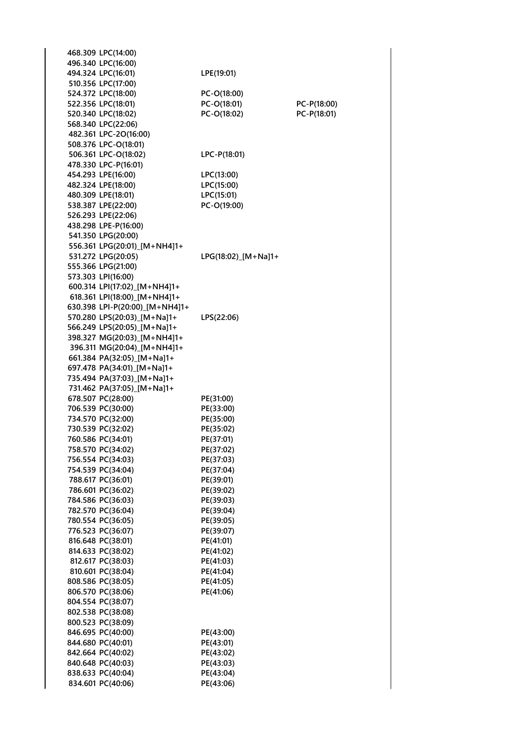| 468.309 LPC(14:00)             |                     |             |
|--------------------------------|---------------------|-------------|
| 496.340 LPC(16:00)             |                     |             |
| 494.324 LPC(16:01)             | LPE(19:01)          |             |
| 510.356 LPC(17:00)             |                     |             |
| 524.372 LPC(18:00)             | PC-O(18:00)         |             |
| 522.356 LPC(18:01)             | PC-O(18:01)         | PC-P(18:00) |
| 520.340 LPC(18:02)             | PC-O(18:02)         | PC-P(18:01) |
| 568.340 LPC(22:06)             |                     |             |
| 482.361 LPC-2O(16:00)          |                     |             |
| 508.376 LPC-O(18:01)           |                     |             |
| 506.361 LPC-O(18:02)           | LPC-P(18:01)        |             |
| 478.330 LPC-P(16:01)           |                     |             |
| 454.293 LPE(16:00)             | LPC(13:00)          |             |
| 482.324 LPE(18:00)             | LPC(15:00)          |             |
| 480.309 LPE(18:01)             | LPC(15:01)          |             |
| 538.387 LPE(22:00)             | PC-O(19:00)         |             |
| 526.293 LPE(22:06)             |                     |             |
| 438.298 LPE-P(16:00)           |                     |             |
| 541.350 LPG(20:00)             |                     |             |
|                                |                     |             |
| 556.361 LPG(20:01) [M+NH4]1+   |                     |             |
| 531.272 LPG(20:05)             | LPG(18:02) [M+Na]1+ |             |
| 555.366 LPG(21:00)             |                     |             |
| 573.303 LPI(16:00)             |                     |             |
| 600.314 LPI(17:02)_[M+NH4]1+   |                     |             |
| 618.361 LPI(18:00) [M+NH4]1+   |                     |             |
| 630.398 LPI-P(20:00) [M+NH4]1+ |                     |             |
| 570.280 LPS(20:03) [M+Na]1+    | LPS(22:06)          |             |
| 566.249 LPS(20:05)_[M+Na]1+    |                     |             |
| 398.327 MG(20:03)_[M+NH4]1+    |                     |             |
| 396.311 MG(20:04) [M+NH4]1+    |                     |             |
| 661.384 PA(32:05)_[M+Na]1+     |                     |             |
| 697.478 PA(34:01)_[M+Na]1+     |                     |             |
| 735.494 PA(37:03) [M+Na]1+     |                     |             |
| 731.462 PA(37:05)_[M+Na]1+     |                     |             |
| 678.507 PC(28:00)              | PE(31:00)           |             |
| 706.539 PC(30:00)              | PE(33:00)           |             |
| 734.570 PC(32:00)              | PE(35:00)           |             |
| 730.539 PC(32:02)              |                     |             |
|                                | PE(35:02)           |             |
| 760.586 PC(34:01)              | PE(37:01)           |             |
| 758.570 PC(34:02)              | PE(37:02)           |             |
| 756.554 PC(34:03)              | PE(37:03)           |             |
| 754.539 PC(34:04)              | PE(37:04)           |             |
| 788.617 PC(36:01)              | PE(39:01)           |             |
| 786.601 PC(36:02)              | PE(39:02)           |             |
| 784.586 PC(36:03)              | PE(39:03)           |             |
| 782.570 PC(36:04)              | PE(39:04)           |             |
| 780.554 PC(36:05)              | PE(39:05)           |             |
| 776.523 PC(36:07)              | PE(39:07)           |             |
| 816.648 PC(38:01)              | PE(41:01)           |             |
| 814.633 PC(38:02)              | PE(41:02)           |             |
| 812.617 PC(38:03)              | PE(41:03)           |             |
| 810.601 PC(38:04)              | PE(41:04)           |             |
| 808.586 PC(38:05)              | PE(41:05)           |             |
| 806.570 PC(38:06)              | PE(41:06)           |             |
| 804.554 PC(38:07)              |                     |             |
|                                |                     |             |
| 802.538 PC(38:08)              |                     |             |
| 800.523 PC(38:09)              |                     |             |
| 846.695 PC(40:00)              | PE(43:00)           |             |
| 844.680 PC(40:01)              | PE(43:01)           |             |
| 842.664 PC(40:02)              | PE(43:02)           |             |
| 840.648 PC(40:03)              | PE(43:03)           |             |
| 838.633 PC(40:04)              | PE(43:04)           |             |
| 834.601 PC(40:06)              | PE(43:06)           |             |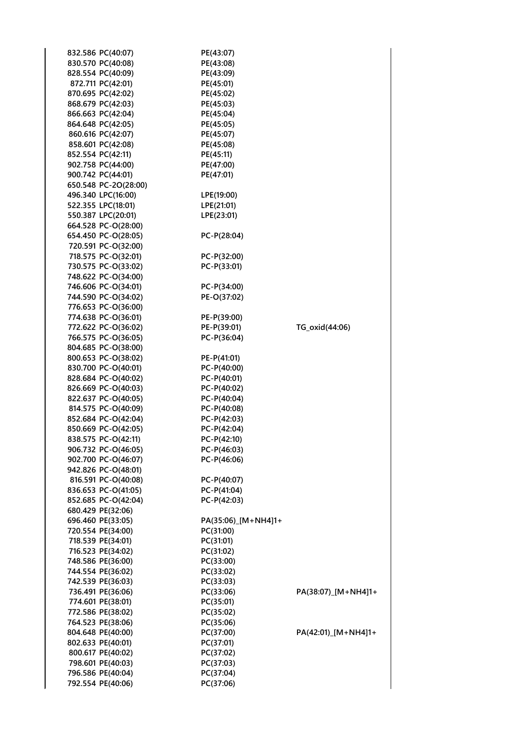| 832.586 PC(40:07)                          | PE(43:07)                      |                     |
|--------------------------------------------|--------------------------------|---------------------|
| 830.570 PC(40:08)                          | PE(43:08)                      |                     |
| 828.554 PC(40:09)                          | PE(43:09)                      |                     |
| 872.711 PC(42:01)                          | PE(45:01)                      |                     |
| 870.695 PC(42:02)                          | PE(45:02)                      |                     |
| 868.679 PC(42:03)                          | PE(45:03)                      |                     |
| 866.663 PC(42:04)                          | PE(45:04)                      |                     |
| 864.648 PC(42:05)                          | PE(45:05)                      |                     |
| 860.616 PC(42:07)                          | PE(45:07)                      |                     |
| 858.601 PC(42:08)                          | PE(45:08)                      |                     |
| 852.554 PC(42:11)                          | PE(45:11)                      |                     |
| 902.758 PC(44:00)                          | PE(47:00)                      |                     |
| 900.742 PC(44:01)                          | PE(47:01)                      |                     |
| 650.548 PC-2O(28:00)                       |                                |                     |
| 496.340 LPC(16:00)                         | LPE(19:00)                     |                     |
| 522.355 LPC(18:01)                         | LPE(21:01)                     |                     |
| 550.387 LPC(20:01)                         | LPE(23:01)                     |                     |
| 664.528 PC-O(28:00)                        |                                |                     |
| 654.450 PC-O(28:05)                        | $PC-P(28:04)$                  |                     |
| 720.591 PC-O(32:00)                        |                                |                     |
| 718.575 PC-O(32:01)                        | PC-P(32:00)                    |                     |
| 730.575 PC-O(33:02)                        | $PC-P(33:01)$                  |                     |
| 748.622 PC-O(34:00)                        |                                |                     |
| 746.606 PC-O(34:01)                        | PC-P(34:00)                    |                     |
| 744.590 PC-O(34:02)                        | PE-O(37:02)                    |                     |
| 776.653 PC-O(36:00)                        |                                |                     |
| 774.638 PC-O(36:01)                        | PE-P(39:00)                    |                     |
| 772.622 PC-O(36:02)                        | PE-P(39:01)                    | TG_oxid(44:06)      |
| 766.575 PC-O(36:05)                        | PC-P(36:04)                    |                     |
| 804.685 PC-O(38:00)                        |                                |                     |
| 800.653 PC-O(38:02)                        | PE-P(41:01)                    |                     |
| 830.700 PC-O(40:01)<br>828.684 PC-O(40:02) | $PC-P(40:00)$<br>$PC-P(40:01)$ |                     |
| 826.669 PC-O(40:03)                        | PC-P(40:02)                    |                     |
| 822.637 PC-O(40:05)                        | $PC-P(40:04)$                  |                     |
| 814.575 PC-O(40:09)                        | $PC-P(40:08)$                  |                     |
| 852.684 PC-O(42:04)                        | PC-P(42:03)                    |                     |
| 850.669 PC-O(42:05)                        | $PC-P(42:04)$                  |                     |
| 838.575 PC-O(42:11)                        | PC-P(42:10)                    |                     |
| 906.732 PC-O(46:05)                        | $PC-P(46:03)$                  |                     |
| 902.700 PC-O(46:07)                        | PC-P(46:06)                    |                     |
| 942.826 PC-O(48:01)                        |                                |                     |
| 816.591 PC-O(40:08)                        | PC-P(40:07)                    |                     |
| 836.653 PC-O(41:05)                        | PC-P(41:04)                    |                     |
| 852.685 PC-O(42:04)                        | PC-P(42:03)                    |                     |
| 680.429 PE(32:06)                          |                                |                     |
| 696.460 PE(33:05)                          | PA(35:06) [M+NH4]1+            |                     |
| 720.554 PE(34:00)                          | PC(31:00)                      |                     |
| 718.539 PE(34:01)                          | PC(31:01)                      |                     |
| 716.523 PE(34:02)                          | PC(31:02)                      |                     |
| 748.586 PE(36:00)                          | PC(33:00)                      |                     |
| 744.554 PE(36:02)                          | PC(33:02)                      |                     |
| 742.539 PE(36:03)                          | PC(33:03)                      |                     |
| 736.491 PE(36:06)                          | PC(33:06)                      | PA(38:07)_[M+NH4]1+ |
| 774.601 PE(38:01)                          | PC(35:01)                      |                     |
| 772.586 PE(38:02)                          | PC(35:02)                      |                     |
| 764.523 PE(38:06)                          | PC(35:06)                      |                     |
| 804.648 PE(40:00)                          | PC(37:00)                      | PA(42:01)_[M+NH4]1+ |
| 802.633 PE(40:01)                          | PC(37:01)                      |                     |
| 800.617 PE(40:02)                          | PC(37:02)                      |                     |
| 798.601 PE(40:03)                          | PC(37:03)                      |                     |
| 796.586 PE(40:04)                          | PC(37:04)                      |                     |
| 792.554 PE(40:06)                          | PC(37:06)                      |                     |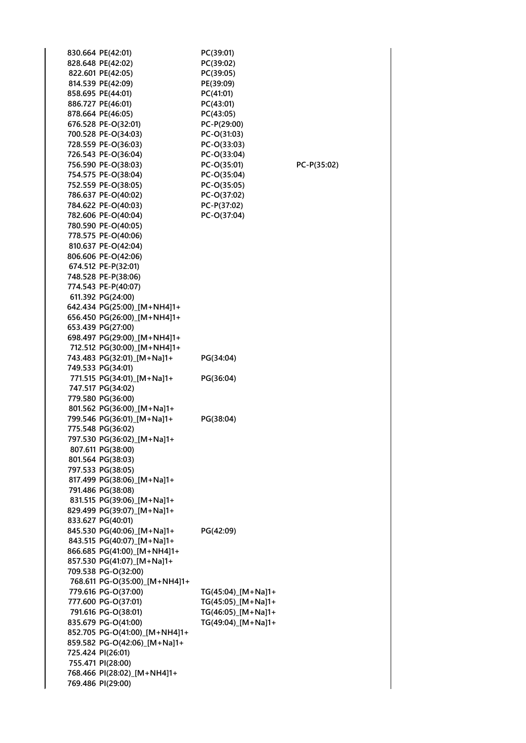|  | 830.664 PE(42:01)                          | PC(39:01)                  |
|--|--------------------------------------------|----------------------------|
|  | 828.648 PE(42:02)                          | PC(39:02)                  |
|  | 822.601 PE(42:05)                          | PC(39:05)                  |
|  | 814.539 PE(42:09)                          | PE(39:09)                  |
|  | 858.695 PE(44:01)                          | PC(41:01)<br>PC(43:01)     |
|  | 886.727 PE(46:01)                          |                            |
|  | 878.664 PE(46:05)                          | PC(43:05)                  |
|  | 676.528 PE-O(32:01)                        | PC-P(29:00)                |
|  | 700.528 PE-O(34:03)<br>728.559 PE-O(36:03) | PC-O(31:03)<br>PC-O(33:03) |
|  | 726.543 PE-O(36:04)                        | PC-O(33:04)                |
|  | 756.590 PE-O(38:03)                        | PC-O(35:01)                |
|  | 754.575 PE-O(38:04)                        | PC-O(35:04)                |
|  | 752.559 PE-O(38:05)                        | PC-O(35:05)                |
|  | 786.637 PE-O(40:02)                        | PC-O(37:02)                |
|  | 784.622 PE-O(40:03)                        | PC-P(37:02)                |
|  | 782.606 PE-O(40:04)                        | PC-O(37:04)                |
|  | 780.590 PE-O(40:05)                        |                            |
|  | 778.575 PE-O(40:06)                        |                            |
|  | 810.637 PE-O(42:04)                        |                            |
|  | 806.606 PE-O(42:06)                        |                            |
|  | 674.512 PE-P(32:01)                        |                            |
|  | 748.528 PE-P(38:06)                        |                            |
|  | 774.543 PE-P(40:07)                        |                            |
|  | 611.392 PG(24:00)                          |                            |
|  | 642.434 PG(25:00)_[M+NH4]1+                |                            |
|  | 656.450 PG(26:00)_[M+NH4]1+                |                            |
|  | 653.439 PG(27:00)                          |                            |
|  | 698.497 PG(29:00)_[M+NH4]1+                |                            |
|  | 712.512 PG(30:00) [M+NH4]1+                |                            |
|  | 743.483 PG(32:01)_[M+Na]1+                 | PG(34:04)                  |
|  | 749.533 PG(34:01)                          |                            |
|  | 771.515 PG(34:01)_[M+Na]1+                 | PG(36:04)                  |
|  | 747.517 PG(34:02)                          |                            |
|  | 779.580 PG(36:00)                          |                            |
|  | 801.562 PG(36:00)_[M+Na]1+                 |                            |
|  | 799.546 PG(36:01) [M+Na]1+                 | PG(38:04)                  |
|  | 775.548 PG(36:02)                          |                            |
|  | 797.530 PG(36:02)_[M+Na]1+                 |                            |
|  | 807.611 PG(38:00)                          |                            |
|  | 801.564 PG(38:03)                          |                            |
|  | 797.533 PG(38:05)                          |                            |
|  | 817.499 PG(38:06) [M+Na]1+                 |                            |
|  | 791.486 PG(38:08)                          |                            |
|  | 831.515 PG(39:06)_[M+Na]1+                 |                            |
|  | 829.499 PG(39:07)_[M+Na]1+                 |                            |
|  | 833.627 PG(40:01)                          |                            |
|  | 845.530 PG(40:06)_[M+Na]1+                 | PG(42:09)                  |
|  | 843.515 PG(40:07)_[M+Na]1+                 |                            |
|  | 866.685 PG(41:00)_[M+NH4]1+                |                            |
|  | 857.530 PG(41:07)_[M+Na]1+                 |                            |
|  | 709.538 PG-O(32:00)                        |                            |
|  | 768.611 PG-O(35:00)_[M+NH4]1+              |                            |
|  | 779.616 PG-O(37:00)                        | TG(45:04)_[M+Na]1+         |
|  | 777.600 PG-O(37:01)                        | TG(45:05)_[M+Na]1+         |
|  | 791.616 PG-O(38:01)                        | TG(46:05)_[M+Na]1+         |
|  | 835.679 PG-O(41:00)                        | TG(49:04)_[M+Na]1+         |
|  | 852.705 PG-O(41:00) [M+NH4]1+              |                            |
|  | 859.582 PG-O(42:06) [M+Na]1+               |                            |
|  | 725.424 PI(26:01)                          |                            |
|  | 755.471 PI(28:00)                          |                            |
|  | 768.466 PI(28:02)_[M+NH4]1+                |                            |
|  | 769.486 PI(29:00)                          |                            |

**756.590 PE-O(38:03) PC-O(35:01) PC-P(35:02)**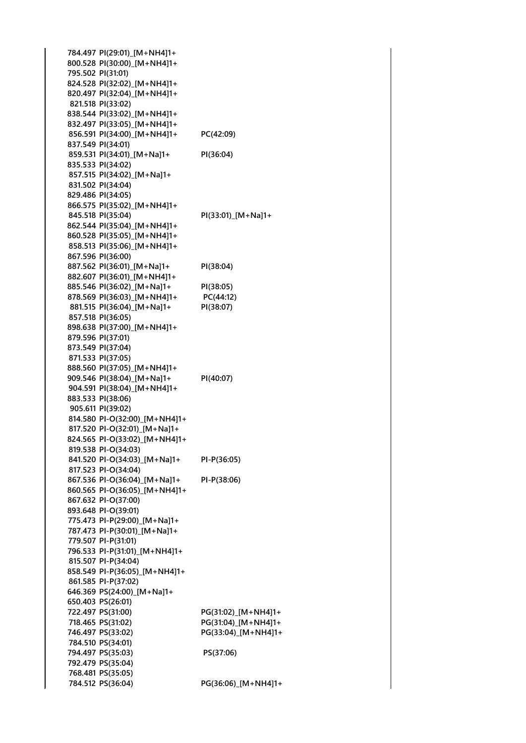**784.497 PI(29:01)\_[M+NH4]1+ 800.528 PI(30:00)\_[M+NH4]1+ 795.502 PI(31:01) 824.528 PI(32:02)\_[M+NH4]1+ 820.497 PI(32:04)\_[M+NH4]1+ 821.518 PI(33:02) 838.544 PI(33:02)\_[M+NH4]1+ 832.497 PI(33:05)\_[M+NH4]1+ 856.591 PI(34:00)\_[M+NH4]1+ PC(42:09) 837.549 PI(34:01) 859.531 PI(34:01)\_[M+Na]1+ PI(36:04) 835.533 PI(34:02) 857.515 PI(34:02)\_[M+Na]1+ 831.502 PI(34:04) 829.486 PI(34:05) 866.575 PI(35:02)\_[M+NH4]1+ 845.518 PI(35:04) PI(33:01)\_[M+Na]1+ 862.544 PI(35:04)\_[M+NH4]1+ 860.528 PI(35:05)\_[M+NH4]1+ 858.513 PI(35:06)\_[M+NH4]1+ 867.596 PI(36:00) 887.562 PI(36:01)\_[M+Na]1+ PI(38:04) 882.607 PI(36:01)\_[M+NH4]1+ 885.546 PI(36:02)\_[M+Na]1+ PI(38:05) 878.569 PI(36:03)\_[M+NH4]1+ PC(44:12) 881.515 PI(36:04)\_[M+Na]1+ PI(38:07) 857.518 PI(36:05) 898.638 PI(37:00)\_[M+NH4]1+ 879.596 PI(37:01) 873.549 PI(37:04) 871.533 PI(37:05) 888.560 PI(37:05)\_[M+NH4]1+ 909.546 PI(38:04)\_[M+Na]1+ PI(40:07) 904.591 PI(38:04)\_[M+NH4]1+ 883.533 PI(38:06) 905.611 PI(39:02) 814.580 PI-O(32:00)\_[M+NH4]1+ 817.520 PI-O(32:01)\_[M+Na]1+ 824.565 PI-O(33:02)\_[M+NH4]1+ 819.538 PI-O(34:03) 841.520 PI-O(34:03)\_[M+Na]1+ PI-P(36:05) 817.523 PI-O(34:04) 867.536 PI-O(36:04)\_[M+Na]1+ PI-P(38:06) 860.565 PI-O(36:05)\_[M+NH4]1+ 867.632 PI-O(37:00) 893.648 PI-O(39:01) 775.473 PI-P(29:00)\_[M+Na]1+ 787.473 PI-P(30:01)\_[M+Na]1+ 779.507 PI-P(31:01) 796.533 PI-P(31:01)\_[M+NH4]1+ 815.507 PI-P(34:04) 858.549 PI-P(36:05)\_[M+NH4]1+ 861.585 PI-P(37:02) 646.369 PS(24:00)\_[M+Na]1+ 650.403 PS(26:01) 722.497 PS(31:00) PG(31:02)\_[M+NH4]1+ 718.465 PS(31:02) PG(31:04)\_[M+NH4]1+ 746.497 PS(33:02) PG(33:04)\_[M+NH4]1+ 784.510 PS(34:01) 794.497 PS(35:03) PS(37:06) 792.479 PS(35:04) 768.481 PS(35:05) 784.512 PS(36:04) PG(36:06)\_[M+NH4]1+**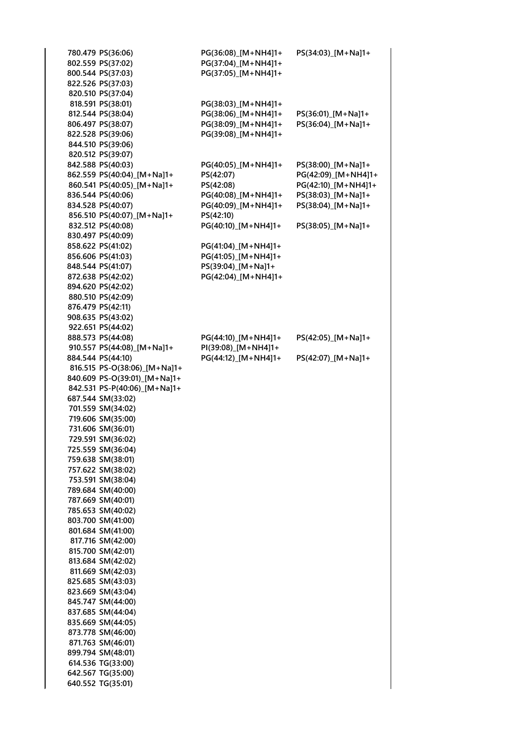**780.479 PS(36:06) PG(36:08)\_[M+NH4]1+ PS(34:03)\_[M+Na]1+ 802.559 PS(37:02)** P **800.544 PS(37:03)** P **822.526 PS(37:03) 820.510 PS(37:04) 818.591 PS(38:01)** P **812.544 PS(38:04)** P **806.497 PS(38:07)** P **822.528 PS(39:06)** P **844.510 PS(39:06) 820.512 PS(39:07) 842.588 PS(40:03)** P **862.559 PS(40:04)**\_[M+Na]1+ P **860.541 PS(40:05)\_[M+Na]1+** P **836.544 PS(40:06)** P **834.528 PS(40:07)** P **856.510 PS(40:07)\_[M+Na]1+ PS(42:10) 832.512 PS(40:08)** P **830.497 PS(40:09) 858.622 PS(41:02)** P **856.606 PS(41:03)** P **848.544 PS(41:07)** PS **872.638 PS(42:02)** P **894.620 PS(42:02) 880.510 PS(42:09) 876.479 PS(42:11) 908.635 PS(43:02) 922.651 PS(44:02) 888.573 PS(44:08)** P **910.557 PS(44:08)\_[M+Na]1+ PI(39:08)\_[M+NH4]1+ 884.544 PS(44:10)** P **816.515 PS-O(38:06)\_[M+Na]1+ 840.609 PS-O(39:01)\_[M+Na]1+ 842.531 PS-P(40:06)\_[M+Na]1+ 687.544 SM(33:02) 701.559 SM(34:02) 719.606 SM(35:00) 731.606 SM(36:01) 729.591 SM(36:02) 725.559 SM(36:04) 759.638 SM(38:01) 757.622 SM(38:02) 753.591 SM(38:04) 789.684 SM(40:00) 787.669 SM(40:01) 785.653 SM(40:02) 803.700 SM(41:00) 801.684 SM(41:00) 817.716 SM(42:00) 815.700 SM(42:01) 813.684 SM(42:02) 811.669 SM(42:03) 825.685 SM(43:03) 823.669 SM(43:04) 845.747 SM(44:00) 837.685 SM(44:04) 835.669 SM(44:05) 873.778 SM(46:00) 871.763 SM(46:01) 899.794 SM(48:01) 614.536 TG(33:00) 642.567 TG(35:00) 640.552 TG(35:01)**

| G(36:08)_[M+NH4]1+<br>$G(37:04)$ [M + NH4]1+<br>$G(37:05)$ [M+NH4]1+                                                                                                                                                | PS(34:03)_[M+Na]1+                                                                                                                 |
|---------------------------------------------------------------------------------------------------------------------------------------------------------------------------------------------------------------------|------------------------------------------------------------------------------------------------------------------------------------|
| G(38:03)_[M+NH4]1+<br>G(38:06)_[M+NH4]1+<br>G(38:09)_[M+NH4]1+<br>G(39:08)_[M+NH4]1+                                                                                                                                | PS(36:01)_[M+Na]1+<br>PS(36:04)_[M+Na]1+                                                                                           |
| G(40:05)_[M+NH4]1+<br>S(42:07)<br>S(42:08)<br>G(40:08)_[M+NH4]1+<br>G(40:09)_[M+NH4]1+<br>S(42:10)<br>$G(40:10)$ [M + NH4]1+<br>G(41:04)_[M+NH4]1+<br>G(41:05)_[M+NH4]1+<br>S(39:04)_[M+Na]1+<br>G(42:04)_[M+NH4]1+ | PS(38:00)_[M+Na]1+<br>PG(42:09)_[M+NH4]1+<br>PG(42:10)_[M+NH4]1+<br>PS(38:03)_[M+Na]1+<br>PS(38:04)_[M+Na]1+<br>PS(38:05)_[M+Na]1+ |
| G(44:10)_[M+NH4]1+<br>I(39:08)_[M+NH4]1+<br>G(44:12)_[M+NH4]1+                                                                                                                                                      | PS(42:05)_[M+Na]1+<br>PS(42:07)_[M+Na]1+                                                                                           |
|                                                                                                                                                                                                                     |                                                                                                                                    |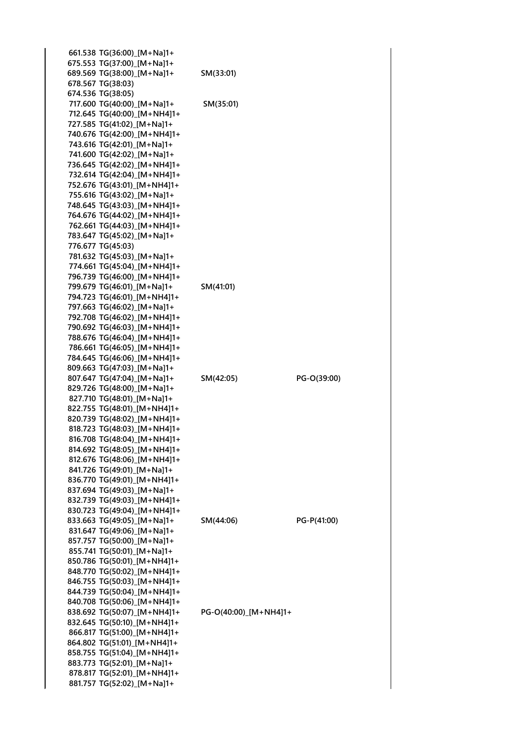| 661.538 TG(36:00)_[M+Na]1+  |                       |             |
|-----------------------------|-----------------------|-------------|
| 675.553 TG(37:00)_[M+Na]1+  |                       |             |
| 689.569 TG(38:00)_[M+Na]1+  | SM(33:01)             |             |
| 678.567 TG(38:03)           |                       |             |
| 674.536 TG(38:05)           |                       |             |
| 717.600 TG(40:00)_[M+Na]1+  | SM(35:01)             |             |
| 712.645 TG(40:00)_[M+NH4]1+ |                       |             |
| 727.585 TG(41:02)_[M+Na]1+  |                       |             |
| 740.676 TG(42:00)_[M+NH4]1+ |                       |             |
| 743.616 TG(42:01)_[M+Na]1+  |                       |             |
| 741.600 TG(42:02) [M+Na]1+  |                       |             |
| 736.645 TG(42:02) [M+NH4]1+ |                       |             |
| 732.614 TG(42:04) [M+NH4]1+ |                       |             |
| 752.676 TG(43:01)_[M+NH4]1+ |                       |             |
| 755.616 TG(43:02)_[M+Na]1+  |                       |             |
| 748.645 TG(43:03) [M+NH4]1+ |                       |             |
| 764.676 TG(44:02)_[M+NH4]1+ |                       |             |
| 762.661 TG(44:03)_[M+NH4]1+ |                       |             |
| 783.647 TG(45:02) [M+Na]1+  |                       |             |
| 776.677 TG(45:03)           |                       |             |
| 781.632 TG(45:03)_[M+Na]1+  |                       |             |
| 774.661 TG(45:04)_[M+NH4]1+ |                       |             |
| 796.739 TG(46:00) [M+NH4]1+ |                       |             |
| 799.679 TG(46:01) [M+Na]1+  | SM(41:01)             |             |
| 794.723 TG(46:01) [M+NH4]1+ |                       |             |
| 797.663 TG(46:02) [M+Na]1+  |                       |             |
| 792.708 TG(46:02) [M+NH4]1+ |                       |             |
| 790.692 TG(46:03)_[M+NH4]1+ |                       |             |
| 788.676 TG(46:04)_[M+NH4]1+ |                       |             |
| 786.661 TG(46:05) [M+NH4]1+ |                       |             |
| 784.645 TG(46:06)_[M+NH4]1+ |                       |             |
| 809.663 TG(47:03)_[M+Na]1+  |                       |             |
| 807.647 TG(47:04)_[M+Na]1+  | SM(42:05)             | PG-O(39:00) |
| 829.726 TG(48:00)_[M+Na]1+  |                       |             |
| 827.710 TG(48:01) [M+Na]1+  |                       |             |
| 822.755 TG(48:01) [M+NH4]1+ |                       |             |
| 820.739 TG(48:02)_[M+NH4]1+ |                       |             |
| 818.723 TG(48:03) [M+NH4]1+ |                       |             |
| 816.708 TG(48:04)_[M+NH4]1+ |                       |             |
| 814.692 TG(48:05) [M+NH4]1+ |                       |             |
| 812.676 TG(48:06) [M+NH4]1+ |                       |             |
| 841.726 TG(49:01) [M+Na]1+  |                       |             |
| 836.770 TG(49:01) [M+NH4]1+ |                       |             |
| 837.694 TG(49:03)_[M+Na]1+  |                       |             |
| 832.739 TG(49:03) [M+NH4]1+ |                       |             |
| 830.723 TG(49:04)_[M+NH4]1+ |                       |             |
| 833.663 TG(49:05)_[M+Na]1+  | SM(44:06)             | PG-P(41:00) |
| 831.647 TG(49:06) [M+Na]1+  |                       |             |
| 857.757 TG(50:00) [M+Na]1+  |                       |             |
| 855.741 TG(50:01)_[M+Na]1+  |                       |             |
| 850.786 TG(50:01)_[M+NH4]1+ |                       |             |
| 848.770 TG(50:02) [M+NH4]1+ |                       |             |
| 846.755 TG(50:03) [M+NH4]1+ |                       |             |
| 844.739 TG(50:04)_[M+NH4]1+ |                       |             |
| 840.708 TG(50:06)_[M+NH4]1+ |                       |             |
| 838.692 TG(50:07) [M+NH4]1+ | PG-O(40:00)_[M+NH4]1+ |             |
| 832.645 TG(50:10) [M+NH4]1+ |                       |             |
| 866.817 TG(51:00)_[M+NH4]1+ |                       |             |
| 864.802 TG(51:01)_[M+NH4]1+ |                       |             |
| 858.755 TG(51:04) [M+NH4]1+ |                       |             |
| 883.773 TG(52:01) [M+Na]1+  |                       |             |
| 878.817 TG(52:01) [M+NH4]1+ |                       |             |
| 881.757 TG(52:02)_[M+Na]1+  |                       |             |
|                             |                       |             |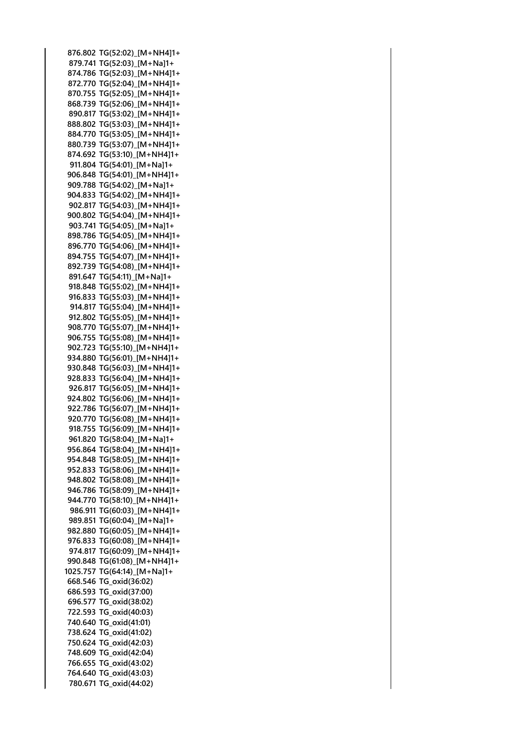**876.802 TG(52:02)\_[M+NH4]1+ 879.741 TG(52:03)\_[M+Na]1+ 874.786 TG(52:03)\_[M+NH4]1+ 872.770 TG(52:04)\_[M+NH4]1+ 870.755 TG(52:05)\_[M+NH4]1+ 868.739 TG(52:06)\_[M+NH4]1+ 890.817 TG(53:02)\_[M+NH4]1+ 888.802 TG(53:03)\_[M+NH4]1+ 884.770 TG(53:05)\_[M+NH4]1+ 880.739 TG(53:07)\_[M+NH4]1+ 874.692 TG(53:10)\_[M+NH4]1+ 911.804 TG(54:01)\_[M+Na]1+ 906.848 TG(54:01)\_[M+NH4]1+ 909.788 TG(54:02)\_[M+Na]1+ 904.833 TG(54:02)\_[M+NH4]1+ 902.817 TG(54:03)\_[M+NH4]1+ 900.802 TG(54:04)\_[M+NH4]1+ 903.741 TG(54:05)\_[M+Na]1+ 898.786 TG(54:05)\_[M+NH4]1+ 896.770 TG(54:06)\_[M+NH4]1+ 894.755 TG(54:07)\_[M+NH4]1+ 892.739 TG(54:08)\_[M+NH4]1+ 891.647 TG(54:11)\_[M+Na]1+ 918.848 TG(55:02)\_[M+NH4]1+ 916.833 TG(55:03)\_[M+NH4]1+ 914.817 TG(55:04)\_[M+NH4]1+ 912.802 TG(55:05)\_[M+NH4]1+ 908.770 TG(55:07)\_[M+NH4]1+ 906.755 TG(55:08)\_[M+NH4]1+ 902.723 TG(55:10)\_[M+NH4]1+ 934.880 TG(56:01)\_[M+NH4]1+ 930.848 TG(56:03)\_[M+NH4]1+ 928.833 TG(56:04)\_[M+NH4]1+ 926.817 TG(56:05)\_[M+NH4]1+ 924.802 TG(56:06)\_[M+NH4]1+ 922.786 TG(56:07)\_[M+NH4]1+ 920.770 TG(56:08)\_[M+NH4]1+ 918.755 TG(56:09)\_[M+NH4]1+ 961.820 TG(58:04)\_[M+Na]1+ 956.864 TG(58:04)\_[M+NH4]1+ 954.848 TG(58:05)\_[M+NH4]1+ 952.833 TG(58:06)\_[M+NH4]1+ 948.802 TG(58:08)\_[M+NH4]1+ 946.786 TG(58:09)\_[M+NH4]1+ 944.770 TG(58:10)\_[M+NH4]1+ 986.911 TG(60:03)\_[M+NH4]1+ 989.851 TG(60:04)\_[M+Na]1+ 982.880 TG(60:05)\_[M+NH4]1+ 976.833 TG(60:08)\_[M+NH4]1+ 974.817 TG(60:09)\_[M+NH4]1+ 990.848 TG(61:08)\_[M+NH4]1+ 1025.757 TG(64:14)\_[M+Na]1+ 668.546 TG\_oxid(36:02) 686.593 TG\_oxid(37:00) 696.577 TG\_oxid(38:02) 722.593 TG\_oxid(40:03) 740.640 TG\_oxid(41:01) 738.624 TG\_oxid(41:02) 750.624 TG\_oxid(42:03) 748.609 TG\_oxid(42:04) 766.655 TG\_oxid(43:02) 764.640 TG\_oxid(43:03) 780.671 TG\_oxid(44:02)**